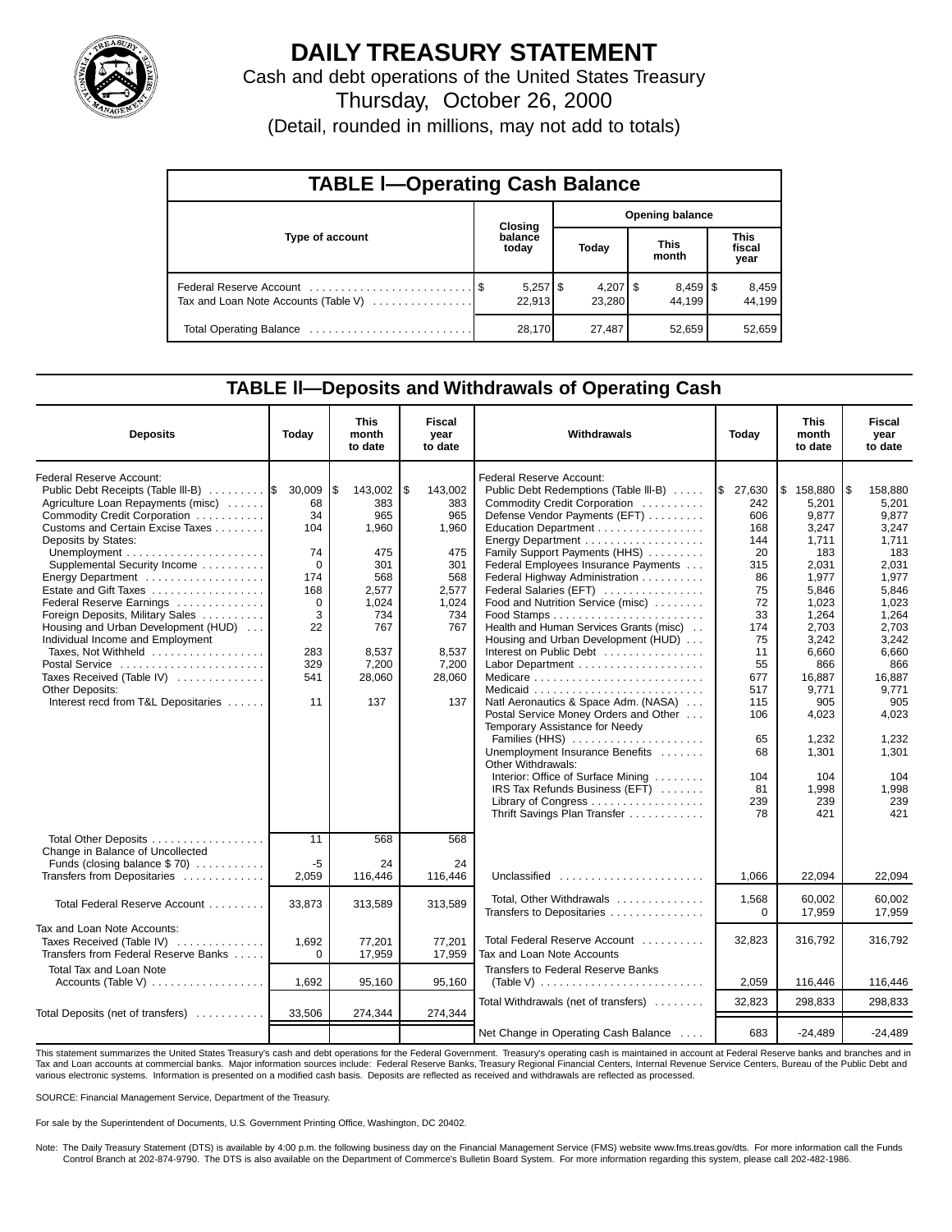

# **DAILY TREASURY STATEMENT**

Cash and debt operations of the United States Treasury

Thursday, October 26, 2000

(Detail, rounded in millions, may not add to totals)

| <b>TABLE I-Operating Cash Balance</b> |  |                  |                        |                                 |  |                                 |                               |                 |  |
|---------------------------------------|--|------------------|------------------------|---------------------------------|--|---------------------------------|-------------------------------|-----------------|--|
|                                       |  | Closing          | <b>Opening balance</b> |                                 |  |                                 |                               |                 |  |
| Type of account                       |  | balance<br>today |                        | Today                           |  | <b>This</b><br>month            | <b>This</b><br>fiscal<br>year |                 |  |
| Tax and Loan Note Accounts (Table V)  |  | 22.913           |                        | $4,207$ $\frac{1}{3}$<br>23.280 |  | $8,459$ $\frac{8}{3}$<br>44.199 |                               | 8,459<br>44.199 |  |
| Total Operating Balance               |  | 28,170           |                        | 27,487                          |  | 52,659                          |                               | 52,659          |  |

### **TABLE ll—Deposits and Withdrawals of Operating Cash**

| <b>Deposits</b>                                                    | Today       | This<br>month<br>to date | <b>Fiscal</b><br>year<br>to date | Withdrawals                                                   | Today      | This<br>month<br>to date | Fiscal<br>year<br>to date |
|--------------------------------------------------------------------|-------------|--------------------------|----------------------------------|---------------------------------------------------------------|------------|--------------------------|---------------------------|
| Federal Reserve Account:                                           |             |                          |                                  | Federal Reserve Account:                                      |            |                          |                           |
| Public Debt Receipts (Table III-B)  S                              | 30,009      | l \$<br>143,002          | \$<br>143,002                    | Public Debt Redemptions (Table III-B)                         | \$27,630   | \$158,880                | \$.<br>158,880            |
| Agriculture Loan Repayments (misc)<br>Commodity Credit Corporation | 68<br>34    | 383<br>965               | 383<br>965                       | Commodity Credit Corporation<br>Defense Vendor Payments (EFT) | 242<br>606 | 5.201<br>9.877           | 5,201<br>9,877            |
| Customs and Certain Excise Taxes                                   | 104         | 1.960                    | 1.960                            | Education Department                                          | 168        | 3.247                    | 3.247                     |
| Deposits by States:                                                |             |                          |                                  |                                                               | 144        | 1.711                    | 1.711                     |
|                                                                    | 74          | 475                      | 475                              | Family Support Payments (HHS)                                 | 20         | 183                      | 183                       |
| Supplemental Security Income                                       | $\mathbf 0$ | 301                      | 301                              | Federal Employees Insurance Payments                          | 315        | 2,031                    | 2,031                     |
| Energy Department                                                  | 174         | 568                      | 568                              | Federal Highway Administration                                | 86         | 1,977                    | 1,977                     |
| Estate and Gift Taxes                                              | 168         | 2,577                    | 2,577                            | Federal Salaries (EFT)                                        | 75         | 5,846                    | 5,846                     |
| Federal Reserve Earnings                                           | 0           | 1,024                    | 1,024                            | Food and Nutrition Service (misc)                             | 72         | 1,023                    | 1,023                     |
| Foreign Deposits, Military Sales                                   | 3           | 734                      | 734                              |                                                               | 33         | 1.264                    | 1,264                     |
| Housing and Urban Development (HUD)                                | 22          | 767                      | 767                              | Health and Human Services Grants (misc)                       | 174        | 2,703                    | 2,703                     |
| Individual Income and Employment                                   |             |                          |                                  | Housing and Urban Development (HUD)                           | 75         | 3,242                    | 3,242                     |
| Taxes, Not Withheld                                                | 283         | 8,537                    | 8,537                            | Interest on Public Debt                                       | 11         | 6,660                    | 6.660                     |
| Postal Service                                                     | 329         | 7,200                    | 7,200                            |                                                               | 55         | 866                      | 866                       |
| Taxes Received (Table IV)                                          | 541         | 28,060                   | 28,060                           |                                                               | 677        | 16.887                   | 16.887                    |
| <b>Other Deposits:</b>                                             |             |                          |                                  |                                                               | 517        | 9.771                    | 9.771                     |
| Interest recd from T&L Depositaries                                | 11          | 137                      | 137                              | Natl Aeronautics & Space Adm. (NASA)                          | 115        | 905                      | 905                       |
|                                                                    |             |                          |                                  | Postal Service Money Orders and Other                         | 106        | 4,023                    | 4,023                     |
|                                                                    |             |                          |                                  | Temporary Assistance for Needy                                |            |                          |                           |
|                                                                    |             |                          |                                  | Families (HHS)<br>Unemployment Insurance Benefits             | 65<br>68   | 1,232<br>1,301           | 1,232<br>1,301            |
|                                                                    |             |                          |                                  | Other Withdrawals:                                            |            |                          |                           |
|                                                                    |             |                          |                                  | Interior: Office of Surface Mining                            | 104        | 104                      | 104                       |
|                                                                    |             |                          |                                  | IRS Tax Refunds Business (EFT)                                | 81         | 1,998                    | 1,998                     |
|                                                                    |             |                          |                                  | Library of Congress                                           | 239        | 239                      | 239                       |
|                                                                    |             |                          |                                  | Thrift Savings Plan Transfer                                  | 78         | 421                      | 421                       |
|                                                                    |             |                          |                                  |                                                               |            |                          |                           |
| Total Other Deposits                                               | 11          | 568                      | 568                              |                                                               |            |                          |                           |
| Change in Balance of Uncollected                                   |             |                          |                                  |                                                               |            |                          |                           |
| Funds (closing balance \$70)                                       | $-5$        | 24                       | 24                               |                                                               |            |                          |                           |
| Transfers from Depositaries                                        | 2,059       | 116,446                  | 116,446                          | Unclassified                                                  | 1,066      | 22,094                   | 22,094                    |
| Total Federal Reserve Account                                      | 33.873      | 313,589                  | 313,589                          | Total, Other Withdrawals                                      | 1,568      | 60.002                   | 60.002                    |
|                                                                    |             |                          |                                  | Transfers to Depositaries                                     | $\Omega$   | 17,959                   | 17,959                    |
| Tax and Loan Note Accounts:                                        |             |                          |                                  |                                                               |            |                          |                           |
| Taxes Received (Table IV)                                          | 1,692       | 77,201                   | 77,201                           | Total Federal Reserve Account                                 | 32,823     | 316,792                  | 316,792                   |
| Transfers from Federal Reserve Banks                               | $\Omega$    | 17,959                   | 17,959                           | Tax and Loan Note Accounts                                    |            |                          |                           |
| <b>Total Tax and Loan Note</b>                                     |             |                          |                                  | Transfers to Federal Reserve Banks                            |            |                          |                           |
| Accounts (Table V) $\ldots \ldots \ldots \ldots \ldots$            | 1,692       | 95,160                   | 95,160                           |                                                               | 2,059      | 116,446                  | 116,446                   |
|                                                                    |             |                          |                                  |                                                               |            |                          |                           |
| Total Deposits (net of transfers)                                  | 33,506      | 274,344                  | 274,344                          | Total Withdrawals (net of transfers)                          | 32,823     | 298,833                  | 298,833                   |
|                                                                    |             |                          |                                  | Net Change in Operating Cash Balance                          | 683        | $-24,489$                | $-24.489$                 |

This statement summarizes the United States Treasury's cash and debt operations for the Federal Government. Treasury's operating cash is maintained in account at Federal Reserve banks and branches and in<br>Tax and Loan accou various electronic systems. Information is presented on a modified cash basis. Deposits are reflected as received and withdrawals are reflected as processed.

SOURCE: Financial Management Service, Department of the Treasury.

For sale by the Superintendent of Documents, U.S. Government Printing Office, Washington, DC 20402.

Note: The Daily Treasury Statement (DTS) is available by 4:00 p.m. the following business day on the Financial Management Service (FMS) website www.fms.treas.gov/dts. For more information call the Funds<br>Control Branch at 2